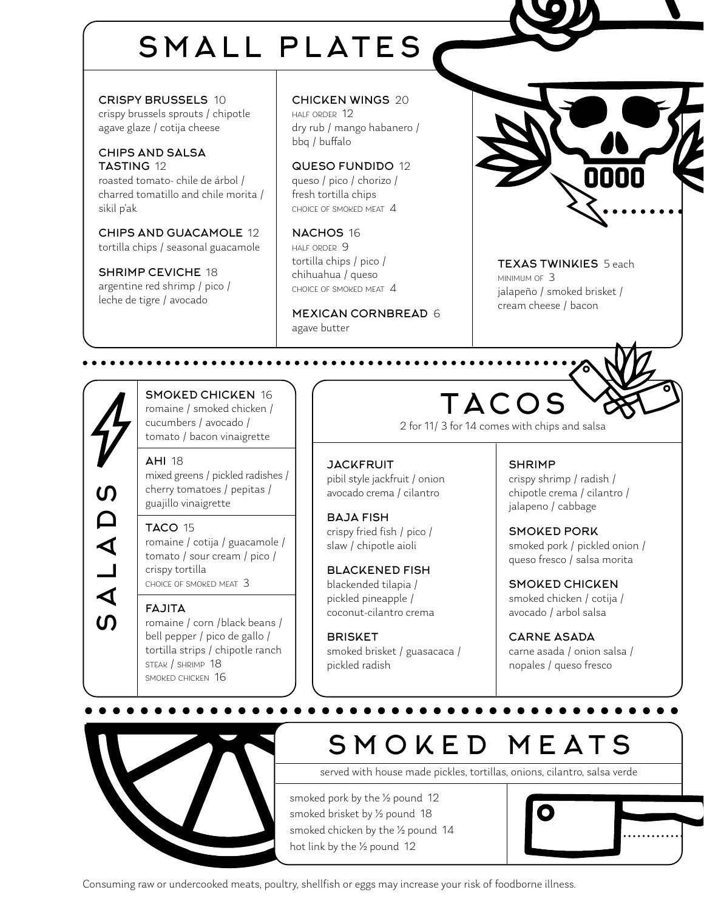# SMALL PLATES

CRISPY BRUSSELS 10 crispy brussels sprouts / chipotle agave glaze / cotija cheese

CHIPS AND SALSA TASTING 12 roasted tomato- chile de árbol / charred tomatillo and chile morita / sikil p'ak

CHIPS AND GUACAMOLE 12 tortilla chips / seasonal guacamole

SHRIMP CEVICHE 18 argentine red shrimp / pico / leche de tigre / avocado

CHICKEN WINGS 20 half order 12 dry rub / mango habanero / bbq / buffalo

QUESO FUNDIDO 12 queso / pico / chorizo / fresh tortilla chips choice of smoked meat 4

NACHOS 16 half order 9 tortilla chips / pico / chihuahua / queso choice of smoked meat 4

MEXICAN CORNBREAD 6 agave butter

**JACKFRUIT** 

BAJA FISH

**BRISKET** 

pickled radish

pibil style jackfruit / onion avocado crema / cilantro

crispy fried fish / pico / slaw / chipotle aioli

BLACKENED FISH blackended tilapia / pickled pineapple / coconut-cilantro crema

smoked brisket / guasacaca /



TEXAS TWINKIES 5 each minimum of 3 jalapeño / smoked brisket / cream cheese / bacon

 $\mathsf{\Omega}$ SALADS ALAD <u>ທ</u> SMOKED CHICKEN 16 romaine / smoked chicken / cucumbers / avocado / tomato / bacon vinaigrette

. . . . . . . . . . . . . .

AHI 18 mixed greens / pickled radishes / cherry tomatoes / pepitas / guajillo vinaigrette

#### TACO 15

romaine / cotija / guacamole / tomato / sour cream / pico / crispy tortilla choice of smoked meat 3

#### FAJITA

romaine / corn /black beans / bell pepper / pico de gallo / tortilla strips / chipotle ranch steak / shrimp 18 smoked chicken 16

# TACOS

2 for 11/ 3 for 14 comes with chips and salsa

SHRIMP

crispy shrimp / radish / chipotle crema / cilantro / jalapeno / cabbage

SMOKED PORK smoked pork / pickled onion / queso fresco / salsa morita

SMOKED CHICKEN smoked chicken / cotija / avocado / arbol salsa

CARNE ASADA carne asada / onion salsa / nopales / queso fresco



## SMOKED MEATS

served with house made pickles, tortillas, onions, cilantro, salsa verde

smoked pork by the ½ pound 12 smoked brisket by ½ pound 18 smoked chicken by the ½ pound 14 hot link by the ½ pound 12



Consuming raw or undercooked meats, poultry, shellfish or eggs may increase your risk of foodborne illness.